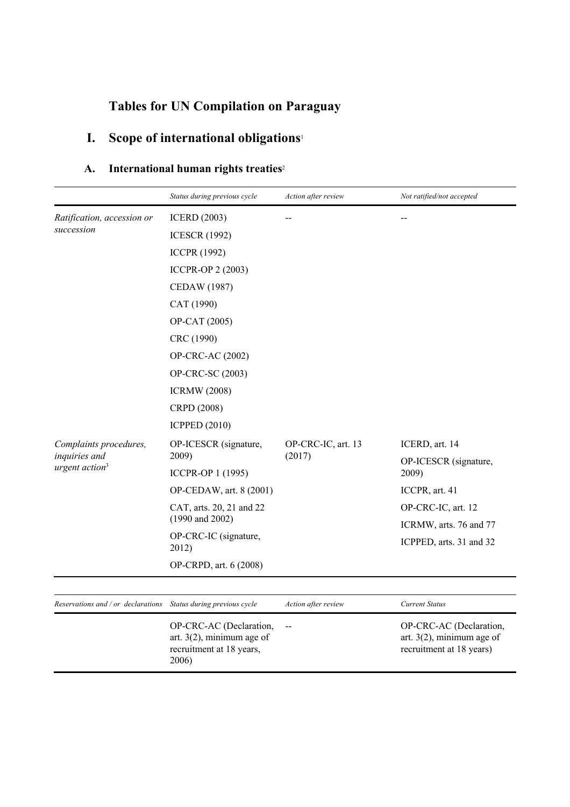# **Tables for UN Compilation on Paraguay**

# **I. Scope of international obligations**<sup>1</sup>

### **A. International human rights treaties**<sup>2</sup>

|                                                                       | Status during previous cycle                                                                 | Action after review      | Not ratified/not accepted                                                           |
|-----------------------------------------------------------------------|----------------------------------------------------------------------------------------------|--------------------------|-------------------------------------------------------------------------------------|
| Ratification, accession or                                            | <b>ICERD</b> (2003)                                                                          |                          |                                                                                     |
| succession                                                            | <b>ICESCR (1992)</b>                                                                         |                          |                                                                                     |
|                                                                       | <b>ICCPR (1992)</b>                                                                          |                          |                                                                                     |
|                                                                       | <b>ICCPR-OP 2 (2003)</b>                                                                     |                          |                                                                                     |
|                                                                       | <b>CEDAW</b> (1987)                                                                          |                          |                                                                                     |
|                                                                       | CAT (1990)                                                                                   |                          |                                                                                     |
|                                                                       | OP-CAT (2005)                                                                                |                          |                                                                                     |
|                                                                       | CRC (1990)                                                                                   |                          |                                                                                     |
|                                                                       | OP-CRC-AC (2002)                                                                             |                          |                                                                                     |
|                                                                       | OP-CRC-SC (2003)                                                                             |                          |                                                                                     |
|                                                                       | <b>ICRMW</b> (2008)                                                                          |                          |                                                                                     |
|                                                                       | CRPD (2008)                                                                                  |                          |                                                                                     |
|                                                                       | <b>ICPPED (2010)</b>                                                                         |                          |                                                                                     |
| Complaints procedures,<br>inquiries and<br>urgent action <sup>3</sup> | OP-ICESCR (signature,                                                                        | OP-CRC-IC, art. 13       | ICERD, art. 14                                                                      |
|                                                                       | 2009)                                                                                        | (2017)                   | OP-ICESCR (signature,                                                               |
|                                                                       | ICCPR-OP 1 (1995)                                                                            |                          | 2009)                                                                               |
|                                                                       | OP-CEDAW, art. 8 (2001)                                                                      |                          | ICCPR, art. 41                                                                      |
|                                                                       | CAT, arts. 20, 21 and 22<br>$(1990 \text{ and } 2002)$                                       |                          | OP-CRC-IC, art. 12                                                                  |
|                                                                       | OP-CRC-IC (signature,                                                                        |                          | ICRMW, arts. 76 and 77                                                              |
|                                                                       | 2012)                                                                                        |                          | ICPPED, arts. 31 and 32                                                             |
|                                                                       | OP-CRPD, art. 6 (2008)                                                                       |                          |                                                                                     |
|                                                                       |                                                                                              |                          |                                                                                     |
| Reservations and / or declarations Status during previous cycle       |                                                                                              | Action after review      | <b>Current Status</b>                                                               |
|                                                                       | OP-CRC-AC (Declaration,<br>art. $3(2)$ , minimum age of<br>recruitment at 18 years,<br>2006) | $\overline{\phantom{m}}$ | OP-CRC-AC (Declaration,<br>art. $3(2)$ , minimum age of<br>recruitment at 18 years) |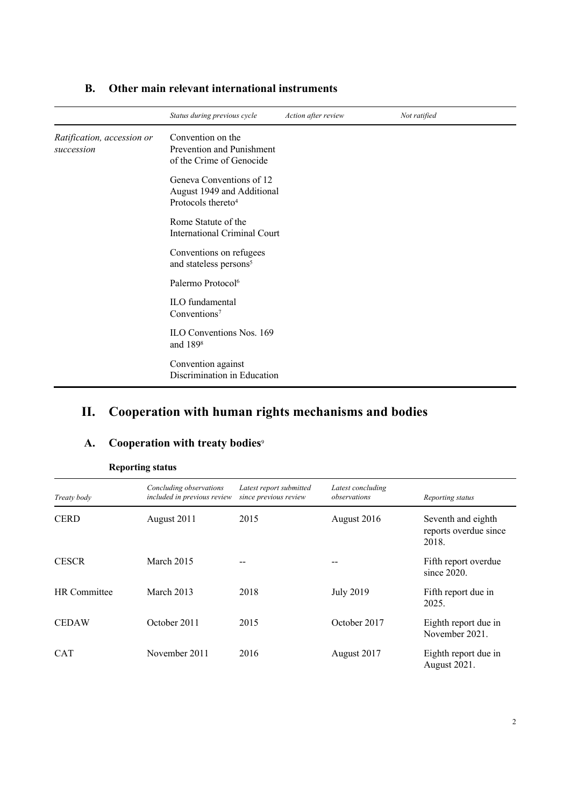|                                          | Status during previous cycle                                                             | Action after review | Not ratified |
|------------------------------------------|------------------------------------------------------------------------------------------|---------------------|--------------|
| Ratification, accession or<br>succession | Convention on the<br>Prevention and Punishment<br>of the Crime of Genocide               |                     |              |
|                                          | Geneva Conventions of 12<br>August 1949 and Additional<br>Protocols thereto <sup>4</sup> |                     |              |
|                                          | Rome Statute of the<br><b>International Criminal Court</b>                               |                     |              |
|                                          | Conventions on refugees<br>and stateless persons <sup>5</sup>                            |                     |              |
|                                          | Palermo Protocol <sup>6</sup>                                                            |                     |              |
|                                          | ILO fundamental<br>Conventions <sup>7</sup>                                              |                     |              |
|                                          | ILO Conventions Nos. 169<br>and 1898                                                     |                     |              |
|                                          | Convention against<br>Discrimination in Education                                        |                     |              |

### **B. Other main relevant international instruments**

### **II. Cooperation with human rights mechanisms and bodies**

### **A. Cooperation with treaty bodies**<sup>9</sup>

| Treaty body  | Concluding observations<br>included in previous review | Latest report submitted<br>since previous review | Latest concluding<br>observations | Reporting status                                     |
|--------------|--------------------------------------------------------|--------------------------------------------------|-----------------------------------|------------------------------------------------------|
| <b>CERD</b>  | August 2011                                            | 2015                                             | August 2016                       | Seventh and eighth<br>reports overdue since<br>2018. |
| <b>CESCR</b> | March 2015                                             | --                                               |                                   | Fifth report overdue<br>since $2020$ .               |
| HR Committee | March 2013                                             | 2018                                             | <b>July 2019</b>                  | Fifth report due in<br>2025.                         |
| <b>CEDAW</b> | October 2011                                           | 2015                                             | October 2017                      | Eighth report due in<br>November 2021.               |
| <b>CAT</b>   | November 2011                                          | 2016                                             | August 2017                       | Eighth report due in<br><b>August 2021.</b>          |

#### **Reporting status**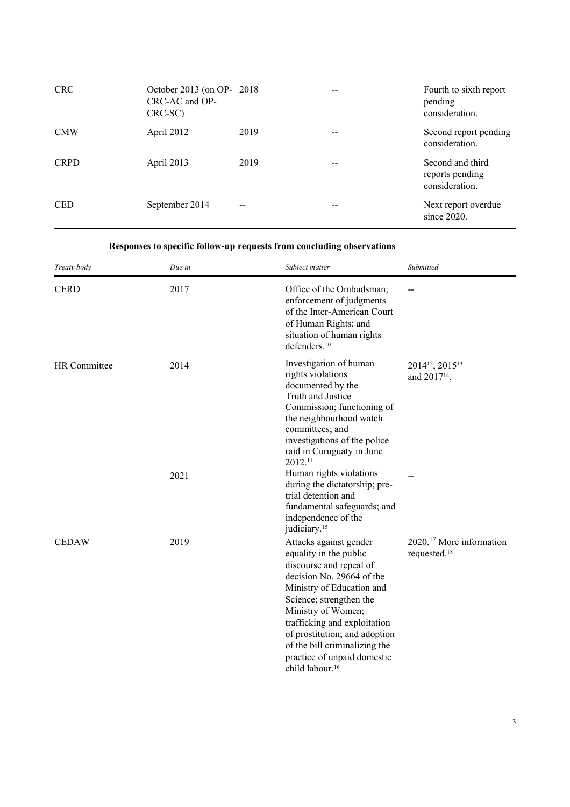| <b>CRC</b>  | October 2013 (on OP- 2018)<br>CRC-AC and OP-<br>CRC-SC) |      | Fourth to sixth report<br>pending<br>consideration.   |
|-------------|---------------------------------------------------------|------|-------------------------------------------------------|
| <b>CMW</b>  | April 2012                                              | 2019 | Second report pending<br>consideration.               |
| <b>CRPD</b> | April 2013                                              | 2019 | Second and third<br>reports pending<br>consideration. |
| <b>CED</b>  | September 2014                                          | $-$  | Next report overdue<br>since $2020$ .                 |

#### **Responses to specific follow-up requests from concluding observations**

| Treaty body  | Due in | Subject matter                                                                                                                                                                                                                                                                                                                                         | Submitted                                                           |
|--------------|--------|--------------------------------------------------------------------------------------------------------------------------------------------------------------------------------------------------------------------------------------------------------------------------------------------------------------------------------------------------------|---------------------------------------------------------------------|
| <b>CERD</b>  | 2017   | Office of the Ombudsman;<br>enforcement of judgments<br>of the Inter-American Court<br>of Human Rights; and<br>situation of human rights<br>defenders. <sup>10</sup>                                                                                                                                                                                   |                                                                     |
| HR Committee | 2014   | Investigation of human<br>rights violations<br>documented by the<br>Truth and Justice<br>Commission; functioning of<br>the neighbourhood watch<br>committees; and<br>investigations of the police<br>raid in Curuguaty in June<br>2012.11                                                                                                              | 2014 <sup>12</sup> , 2015 <sup>13</sup><br>and 2017 <sup>14</sup> . |
|              | 2021   | Human rights violations<br>during the dictatorship; pre-<br>trial detention and<br>fundamental safeguards; and<br>independence of the<br>judiciary. <sup>15</sup>                                                                                                                                                                                      |                                                                     |
| <b>CEDAW</b> | 2019   | Attacks against gender<br>equality in the public<br>discourse and repeal of<br>decision No. 29664 of the<br>Ministry of Education and<br>Science; strengthen the<br>Ministry of Women;<br>trafficking and exploitation<br>of prostitution; and adoption<br>of the bill criminalizing the<br>practice of unpaid domestic<br>child labour. <sup>16</sup> | 2020. <sup>17</sup> More information<br>requested. <sup>18</sup>    |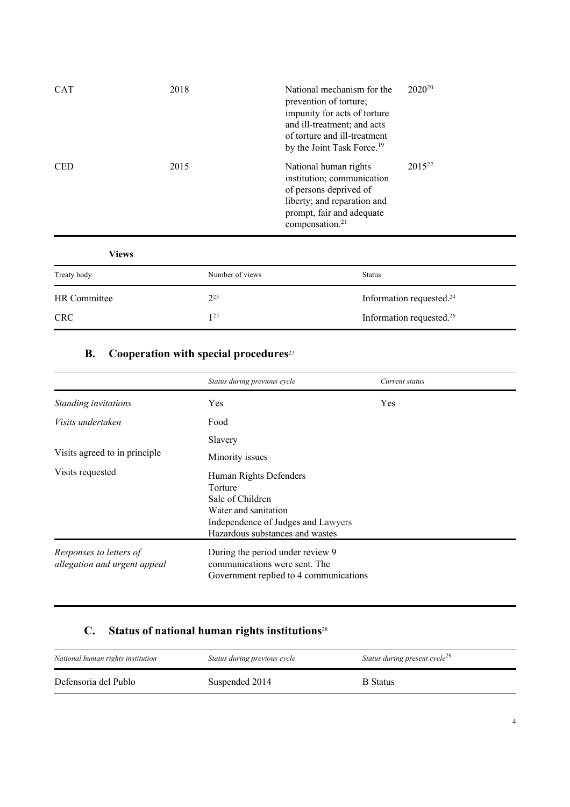| <b>CAT</b> | 2018 | National mechanism for the<br>prevention of torture;<br>impunity for acts of torture<br>and ill-treatment; and acts<br>of torture and ill-treatment<br>by the Joint Task Force. <sup>19</sup> | $2020^{20}$ |
|------------|------|-----------------------------------------------------------------------------------------------------------------------------------------------------------------------------------------------|-------------|
| <b>CED</b> | 2015 | National human rights<br>institution; communication<br>of persons deprived of<br>liberty; and reparation and<br>prompt, fair and adequate<br>compensation. <sup>21</sup>                      | $2015^{22}$ |

| <b>Views</b> |                 |                                      |
|--------------|-----------------|--------------------------------------|
| Treaty body  | Number of views | <b>Status</b>                        |
| HR Committee | $2^{23}$        | Information requested. <sup>24</sup> |
| <b>CRC</b>   | 125             | Information requested. <sup>26</sup> |

### **B. Cooperation with special procedures**<sup>27</sup>

|                                                         | Status during previous cycle                                                                                                                           | Current status |
|---------------------------------------------------------|--------------------------------------------------------------------------------------------------------------------------------------------------------|----------------|
| Standing invitations                                    | Yes                                                                                                                                                    | Yes            |
| Visits undertaken                                       | Food                                                                                                                                                   |                |
|                                                         | Slavery                                                                                                                                                |                |
| Visits agreed to in principle                           | Minority issues                                                                                                                                        |                |
| Visits requested                                        | Human Rights Defenders<br>Torture<br>Sale of Children<br>Water and sanitation<br>Independence of Judges and Lawyers<br>Hazardous substances and wastes |                |
| Responses to letters of<br>allegation and urgent appeal | During the period under review 9<br>communications were sent. The<br>Government replied to 4 communications                                            |                |

### **C. Status of national human rights institutions**<sup>28</sup>

| National human rights institution | Status during previous cycle | Status during present cycle <sup>29</sup> |
|-----------------------------------|------------------------------|-------------------------------------------|
| Defensoria del Publo              | Suspended 2014               | <b>B</b> Status                           |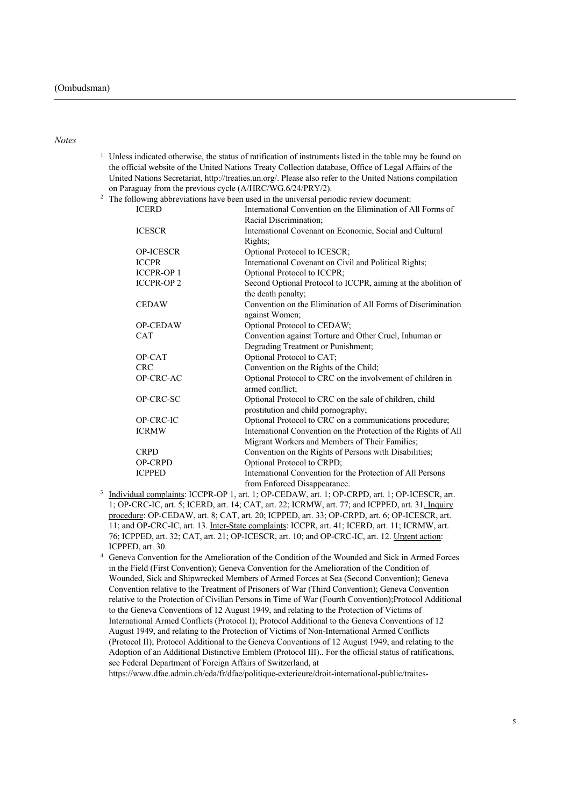#### *Notes*

 $1$  Unless indicated otherwise, the status of ratification of instruments listed in the table may be found on the official website of the United Nations Treaty Collection database, Office of Legal Affairs of the United Nations Secretariat, http://treaties.un.org/. Please also refer to the United Nations compilation on Paraguay from the previous cycle (A/HRC/WG.6/24/PRY/2).<br><sup>2</sup> The following abbreviations have been used in the universal peri

|                  | The following abbreviations have been used in the universal periodic review document: |
|------------------|---------------------------------------------------------------------------------------|
| <b>ICERD</b>     | International Convention on the Elimination of All Forms of                           |
|                  | Racial Discrimination;                                                                |
| <b>ICESCR</b>    | International Covenant on Economic, Social and Cultural                               |
|                  | Rights;                                                                               |
| <b>OP-ICESCR</b> | Optional Protocol to ICESCR;                                                          |
| <b>ICCPR</b>     | International Covenant on Civil and Political Rights;                                 |
| <b>ICCPR-OP1</b> | Optional Protocol to ICCPR;                                                           |
| <b>ICCPR-OP2</b> | Second Optional Protocol to ICCPR, aiming at the abolition of                         |
|                  | the death penalty;                                                                    |
| <b>CEDAW</b>     | Convention on the Elimination of All Forms of Discrimination                          |
|                  | against Women;                                                                        |
| <b>OP-CEDAW</b>  | Optional Protocol to CEDAW;                                                           |
| <b>CAT</b>       | Convention against Torture and Other Cruel, Inhuman or                                |
|                  | Degrading Treatment or Punishment;                                                    |
| OP-CAT           | Optional Protocol to CAT;                                                             |
| <b>CRC</b>       | Convention on the Rights of the Child;                                                |
| OP-CRC-AC        | Optional Protocol to CRC on the involvement of children in                            |
|                  | armed conflict;                                                                       |
| OP-CRC-SC        | Optional Protocol to CRC on the sale of children, child                               |
|                  | prostitution and child pornography;                                                   |
| OP-CRC-IC        | Optional Protocol to CRC on a communications procedure;                               |
| <b>ICRMW</b>     | International Convention on the Protection of the Rights of All                       |
|                  | Migrant Workers and Members of Their Families;                                        |
| <b>CRPD</b>      | Convention on the Rights of Persons with Disabilities;                                |
| <b>OP-CRPD</b>   | Optional Protocol to CRPD;                                                            |
| <b>ICPPED</b>    | International Convention for the Protection of All Persons                            |
|                  | from Enforced Disappearance.                                                          |

- <sup>3</sup> Individual complaints: ICCPR-OP 1, art. 1; OP-CEDAW, art. 1; OP-CRPD, art. 1; OP-ICESCR, art. 1; OP-CRC-IC, art. 5; ICERD, art. 14; CAT, art. 22; ICRMW, art. 77; and ICPPED, art. 31. Inquiry procedure: OP-CEDAW, art. 8; CAT, art. 20; ICPPED, art. 33; OP-CRPD, art. 6; OP-ICESCR, art. 11; and OP-CRC-IC, art. 13. Inter-State complaints: ICCPR, art. 41; ICERD, art. 11; ICRMW, art. 76; ICPPED, art. 32; CAT, art. 21; OP-ICESCR, art. 10; and OP-CRC-IC, art. 12. Urgent action: ICPPED, art. 30.
- <sup>4</sup> Geneva Convention for the Amelioration of the Condition of the Wounded and Sick in Armed Forces in the Field (First Convention); Geneva Convention for the Amelioration of the Condition of Wounded, Sick and Shipwrecked Members of Armed Forces at Sea (Second Convention); Geneva Convention relative to the Treatment of Prisoners of War (Third Convention); Geneva Convention relative to the Protection of Civilian Persons in Time of War (Fourth Convention);Protocol Additional to the Geneva Conventions of 12 August 1949, and relating to the Protection of Victims of International Armed Conflicts (Protocol I); Protocol Additional to the Geneva Conventions of 12 August 1949, and relating to the Protection of Victims of Non-International Armed Conflicts (Protocol II); Protocol Additional to the Geneva Conventions of 12 August 1949, and relating to the Adoption of an Additional Distinctive Emblem (Protocol III).. For the official status of ratifications, see Federal Department of Foreign Affairs of Switzerland, at

https://www.dfae.admin.ch/eda/fr/dfae/politique-exterieure/droit-international-public/traites-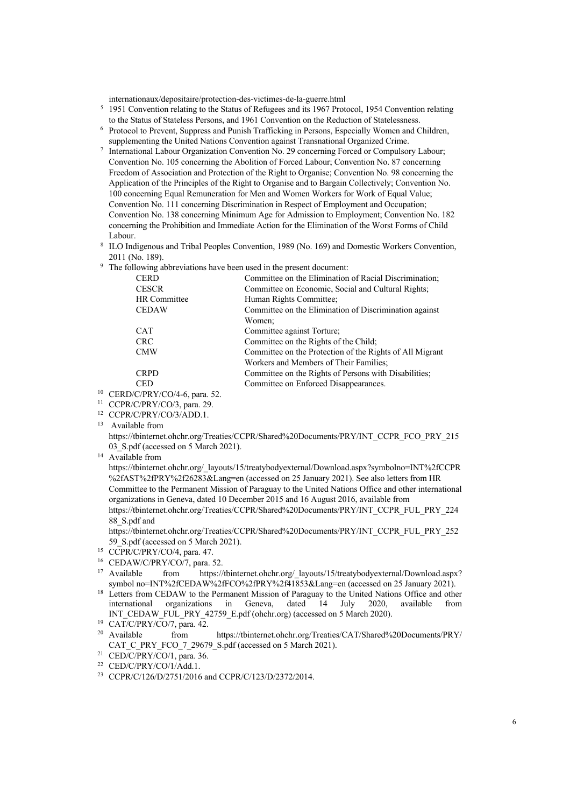internationaux/depositaire/protection-des-victimes-de-la-guerre.html

- <sup>5</sup> 1951 Convention relating to the Status of Refugees and its 1967 Protocol, 1954 Convention relating to the Status of Stateless Persons, and 1961 Convention on the Reduction of Statelessness.
- <sup>6</sup> Protocol to Prevent, Suppress and Punish Trafficking in Persons, Especially Women and Children, supplementing the United Nations Convention against Transnational Organized Crime.
- International Labour Organization Convention No. 29 concerning Forced or Compulsory Labour; Convention No. 105 concerning the Abolition of Forced Labour; Convention No. 87 concerning Freedom of Association and Protection of the Right to Organise; Convention No. 98 concerning the Application of the Principles of the Right to Organise and to Bargain Collectively; Convention No. 100 concerning Equal Remuneration for Men and Women Workers for Work of Equal Value; Convention No. 111 concerning Discrimination in Respect of Employment and Occupation; Convention No. 138 concerning Minimum Age for Admission to Employment; Convention No. 182 concerning the Prohibition and Immediate Action for the Elimination of the Worst Forms of Child Labour.
- <sup>8</sup> ILO Indigenous and Tribal Peoples Convention, 1989 (No. 169) and Domestic Workers Convention, 2011 (No. 189).
- <sup>9</sup> The following abbreviations have been used in the present document:

| <b>CERD</b>         | Committee on the Elimination of Racial Discrimination;   |
|---------------------|----------------------------------------------------------|
| <b>CESCR</b>        | Committee on Economic, Social and Cultural Rights;       |
| <b>HR</b> Committee | Human Rights Committee;                                  |
| <b>CEDAW</b>        | Committee on the Elimination of Discrimination against   |
|                     | Women;                                                   |
| <b>CAT</b>          | Committee against Torture;                               |
| <b>CRC</b>          | Committee on the Rights of the Child;                    |
| <b>CMW</b>          | Committee on the Protection of the Rights of All Migrant |
|                     | Workers and Members of Their Families:                   |
| <b>CRPD</b>         | Committee on the Rights of Persons with Disabilities;    |
| <b>CED</b>          | Committee on Enforced Disappearances.                    |

- <sup>10</sup> CERD/C/PRY/CO/4-6, para. 52.
- <sup>11</sup> CCPR/C/PRY/CO/3, para. 29.
- <sup>12</sup> CCPR/C/PRY/CO/3/ADD.1.<br><sup>13</sup> Available from
- 

<sup>14</sup> Available from

https://tbinternet.ohchr.org/\_layouts/15/treatybodyexternal/Download.aspx?symbolno=INT%2fCCPR %2fAST%2fPRY%2f26283&Lang=en (accessed on 25 January 2021). See also letters from HR Committee to the Permanent Mission of Paraguay to the United Nations Office and other international organizations in Geneva, dated 10 December 2015 and 16 August 2016, available from

https://tbinternet.ohchr.org/Treaties/CCPR/Shared%20Documents/PRY/INT\_CCPR\_FUL\_PRY\_224 88\_S.pdf and

https://tbinternet.ohchr.org/Treaties/CCPR/Shared%20Documents/PRY/INT\_CCPR\_FUL\_PRY\_252 59 S.pdf (accessed on 5 March 2021).

- <sup>15</sup> CCPR/C/PRY/CO/4, para. 47.
- $16$  CEDAW/C/PRY/CO/7, para. 52.
- <sup>17</sup> Available from https://tbinternet.ohchr.org/ layouts/15/treatybodyexternal/Download.aspx? symbol no=INT%2fCEDAW%2fFCO%2fPRY%2f41853&Lang=en (accessed on 25 January 2021).
- <sup>18</sup> Letters from CEDAW to the Permanent Mission of Paraguay to the United Nations Office and other<br>international organizations in Geneva, dated 14 July 2020, available from organizations in Geneva, dated 14 July 2020, available from INT\_CEDAW\_FUL\_PRY\_42759\_E.pdf (ohchr.org) (accessed on 5 March 2020).
- <sup>19</sup> CAT/C/PRY/CO/7, para. 42.<br><sup>20</sup> Available from
- from https://tbinternet.ohchr.org/Treaties/CAT/Shared%20Documents/PRY/ CAT\_C\_PRY\_FCO\_7\_29679\_S.pdf (accessed on 5 March 2021).
- <sup>21</sup> CED/C/PRY/CO/1, para. 36.

<sup>23</sup> CCPR/C/126/D/2751/2016 and CCPR/C/123/D/2372/2014.

https://tbinternet.ohchr.org/Treaties/CCPR/Shared%20Documents/PRY/INT\_CCPR\_FCO\_PRY\_215 03 S.pdf (accessed on 5 March 2021).

<sup>22</sup> CED/C/PRY/CO/1/Add.1.